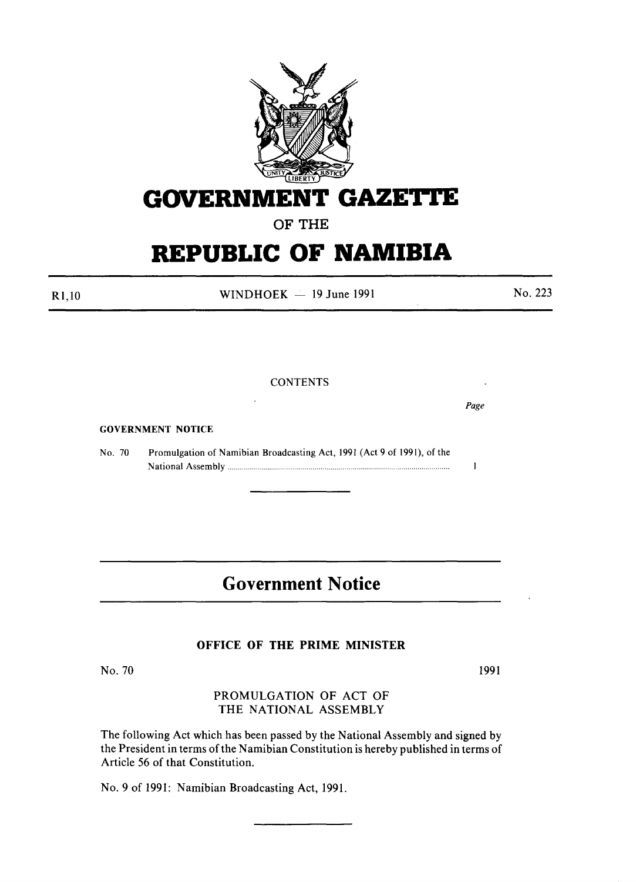

## **GOVERNMENT GAZETrE**

## OF THE

# **REPUBLIC OF NAMIBIA**

 $R1,10$  WINDHOEK - 19 June 1991 No. 223

#### **CONTENTS**

GOVERNMENT NOTICE

No. 70 Promulgation of Namibian Broadcasting Act, 1991 (Act 9 of 1991), of the National Assembly "... " .....

## Government Notice

#### OFFICE OF THE PRIME MINISTER

No. 70 1991

#### PROMULGATION OF ACT OF THE NATIONAL ASSEMBLY

The following Act which has been passed by the National Assembly and signed by the President in terms of the Namibian Constitution is hereby published in terms of Article 56 of that Constitution.

No.9 of 1991: Namibian Broadcasting Act, 1991.

*Page*

 $\mathbf{1}$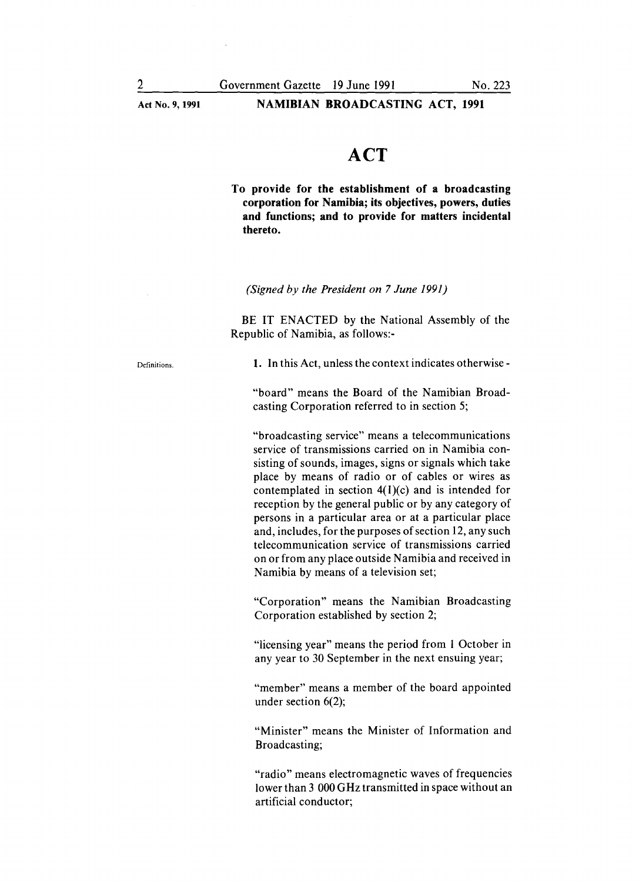NAMIBIAN BROADCASTING ACT, 1991

## **ACT**

To provide for the establishment of a broadcasting corporation for Namibia; its objectives, powers, duties and functions; and to provide for matters incidental thereto.

*(Signed by the President on* 7 *June 1991)*

BE IT ENACTED by the National Assembly of the Republic of Namibia, as follows:-

Definitions.

1. In this Act, unless the context indicates otherwise-

"board" means the Board of the Namibian Broadcasting Corporation referred to in section 5;

"broadcasting service" means a telecommunications service of transmissions carried on in Namibia consisting of sounds, images, signs or signals which take place by means of radio or of cables or wires as contemplated in section  $4(1)(c)$  and is intended for reception by the general public or by any category of persons in a particular area or at a particular place and, includes, for the purposes of section 12, any such telecommunication service of transmissions carried on or from any place outside Namibia and received in Namibia by means of a television set;

"Corporation" means the Namibian Broadcasting Corporation established by section 2;

"licensing year" means the period from I October in any year to 30 September in the next ensuing year;

"member" means a member of the board appointed under section 6(2);

"Minister" means the Minister of Information and Broadcasting;

"radio" means electromagnetic waves of frequencies lower than 3 000 GHz transmitted in space without an artificial conductor;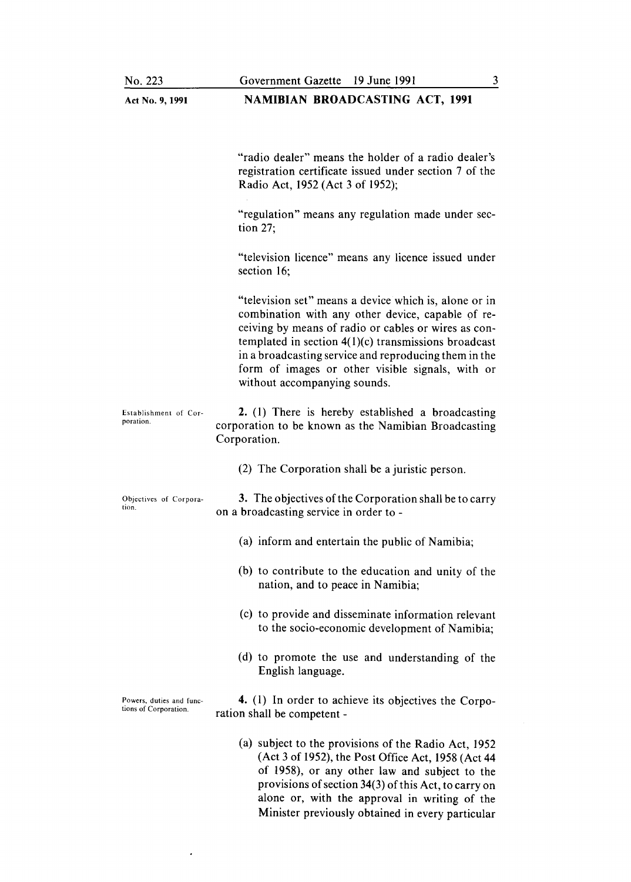| Act No. 9, 1991                                   | <b>NAMIBIAN BROADCASTING ACT, 1991</b>                                                                                                                                                                                                                                                                                                                                    |
|---------------------------------------------------|---------------------------------------------------------------------------------------------------------------------------------------------------------------------------------------------------------------------------------------------------------------------------------------------------------------------------------------------------------------------------|
|                                                   | "radio dealer" means the holder of a radio dealer's<br>registration certificate issued under section 7 of the<br>Radio Act, 1952 (Act 3 of 1952);<br>"regulation" means any regulation made under sec-                                                                                                                                                                    |
|                                                   | tion $27$ ;                                                                                                                                                                                                                                                                                                                                                               |
|                                                   | "television licence" means any licence issued under<br>section 16;                                                                                                                                                                                                                                                                                                        |
|                                                   | "television set" means a device which is, alone or in<br>combination with any other device, capable of re-<br>ceiving by means of radio or cables or wires as con-<br>templated in section $4(1)(c)$ transmissions broadcast<br>in a broadcasting service and reproducing them in the<br>form of images or other visible signals, with or<br>without accompanying sounds. |
| Establishment of Cor-<br>poration.                | 2. (1) There is hereby established a broadcasting<br>corporation to be known as the Namibian Broadcasting<br>Corporation.                                                                                                                                                                                                                                                 |
|                                                   | (2) The Corporation shall be a juristic person.                                                                                                                                                                                                                                                                                                                           |
| Objectives of Corpora-<br>tion.                   | 3. The objectives of the Corporation shall be to carry<br>on a broadcasting service in order to -                                                                                                                                                                                                                                                                         |
|                                                   | (a) inform and entertain the public of Namibia;                                                                                                                                                                                                                                                                                                                           |
|                                                   | (b) to contribute to the education and unity of the<br>nation, and to peace in Namibia;                                                                                                                                                                                                                                                                                   |
|                                                   | (c) to provide and disseminate information relevant<br>to the socio-economic development of Namibia;                                                                                                                                                                                                                                                                      |
|                                                   | (d) to promote the use and understanding of the<br>English language.                                                                                                                                                                                                                                                                                                      |
| Powers, duties and func-<br>tions of Corporation. | 4. (1) In order to achieve its objectives the Corpo-<br>ration shall be competent -                                                                                                                                                                                                                                                                                       |
|                                                   | (a) subject to the provisions of the Radio Act, 1952<br>(Act 3 of 1952), the Post Office Act, 1958 (Act 44<br>of 1958), or any other law and subject to the                                                                                                                                                                                                               |

provisions of section 34(3) of this Act, to carry o alone or, with the approval in writing of the Minister previously obtained in every particular

 $\bullet$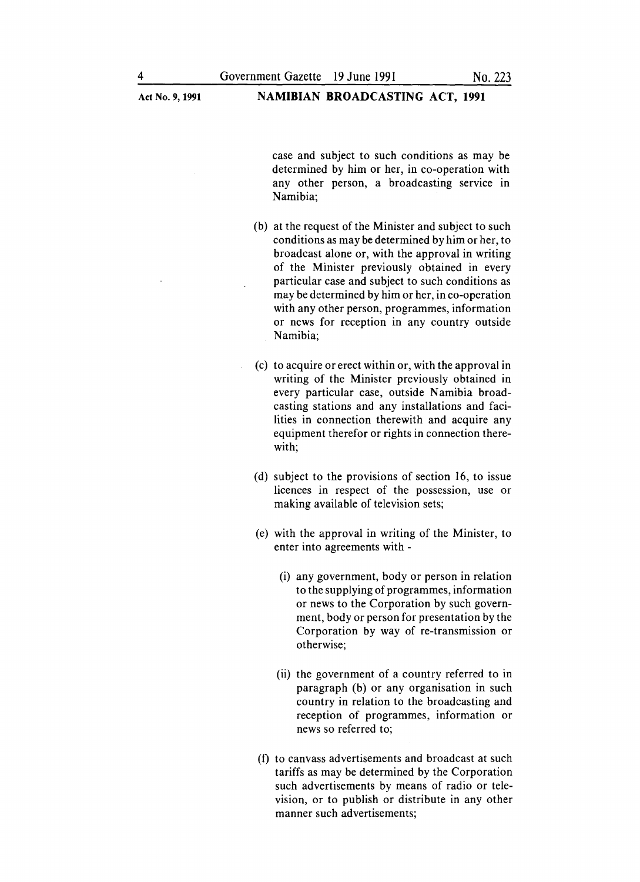case and subject to such conditions as may be determined by him or her, in co-operation with any other person, a broadcasting service in Namibia;

- (b) at the request of the Minister and subject to such conditions as may be determined by him or her, to broadcast alone or, with the approval in writing of the Minister previously obtained in every particular case and subject to such conditions as may be determined by him or her, in co-operation with any other person, programmes, information or news for reception in any country outside Namibia;
- (c) to acquire or erect within or, with the approval in writing of the Minister previously obtained in every particular case, outside Namibia broadcasting stations and any installations and facilities in connection therewith and acquire any equipment therefor or rights in connection therewith;
- (d) subject to the provisions of section 16, to issue licences in respect of the possession, use or making available of television sets;
- (e) with the approval in writing of the Minister, to enter into agreements with -
	- (i) any government, body or person in relation to the supplying of programmes, information or news to the Corporation by such government, body or person for presentation by the Corporation by way of re-transmission or otherwise;
	- (ii) the government of a country referred to in paragraph (b) or any organisation in such country in relation to the broadcasting and reception of programmes, information or news so referred to;
- (f) to canvass advertisements and broadcast at such tariffs as may be determined by the Corporation such advertisements by means of radio or television, or to publish or distribute in any other manner such advertisements;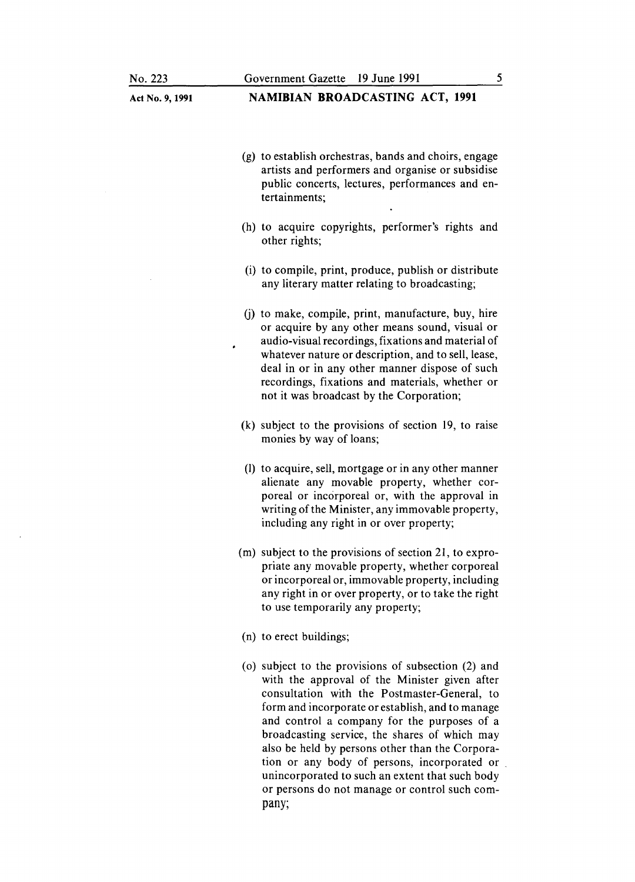### Act No.9, **1991 NAMIBIAN BROADCASTING ACT, 1991**

- (g) to establish orchestras, bands and choirs, engage artists and performers and organise or subsidise public concerts, lectures, performances and entertainments;
- (h) to acquire copyrights, performer's rights and other rights;
- (i) to compile, print, produce, publish or distribute any literary matter relating to broadcasting;
- (j) to make, compile, print, manufacture, buy, hire or acquire by any other means sound, visual or audio-visual recordings, fixations and material of whatever nature or description, and to sell, lease, deal in or in any other manner dispose of such recordings, fixations and materials, whether or not it was broadcast by the Corporation;
- (k) subject to the provisions of section 19, to raise monies by way of loans;
- (1) to acquire, sell, mortgage or in any other manner alienate any movable property, whether corporeal or incorporeal or, with the approval in writing of the Minister, any immovable property, including any right in or over property;
- (m) subject to the provisions of section 21, to expropriate any movable property, whether corporeal or incorporeal or, immovable property, including any right in or over property, or to take the right to use temporarily any property;
- (n) to erect buildings;
- (0) subject to the provisions of subsection (2) and with the approval of the Minister given after consultation with the Postmaster-General, to form and incorporate or establish, and to manage and control a company for the purposes of a broadcasting service, the shares of which may also be held by persons other than the Corporation or any body of persons, incorporated or unincorporated to such an extent that such body or persons do not manage or control such company;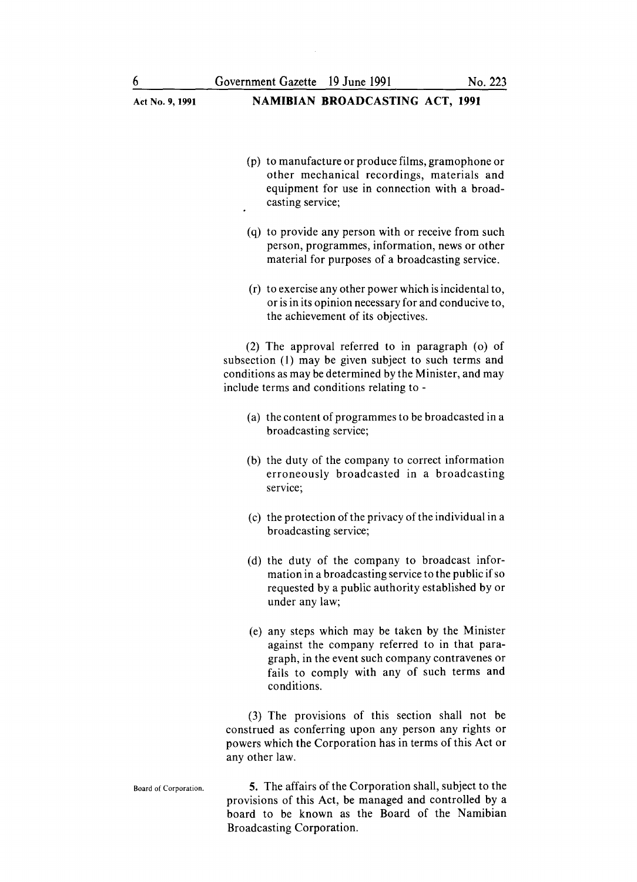NAMIBIAN BROADCASTING ACT, 1991 (p) to manufacture or produce films, gramophone or other mechanical recordings, materials and equipment for use in connection with a broadcasting service; (q) to provide any person with or receive from such person, programmes, information, news or other material for purposes of a broadcasting service. (r) to exercise any other power which isincidental to, or isin its opinion necessary for and conducive to, the achievement of its objectives. (2) The approval referred to in paragraph (0) of subsection (I) may be given subject to such terms and conditions as may be determined by the Minister, and may include terms and conditions relating to - (a) the content of programmes to be broadcasted in a broadcasting service; (b) the duty of the company to correct information erroneously broadcasted in a broadcasting service; (c) the protection of the privacy of the individual in a broadcasting service; (d) the duty of the company to broadcast information in a broadcasting service to the public if so requested by a public authority established by or under any law; (e) any steps which may be taken by the Minister against the company referred to in that paragraph, in the event such company contravenes or fails to comply with any of such terms and conditions.

(3) The provisions of this section shall not be construed as conferring upon any person any rights or powers which the Corporation has in terms of this Act or any other law.

Board of Corporation. 5. The affairs of the Corporation shall, subject to the provisions of this Act, be managed and controlled by a board to be known as the Board of the Namibian Broadcasting Corporation.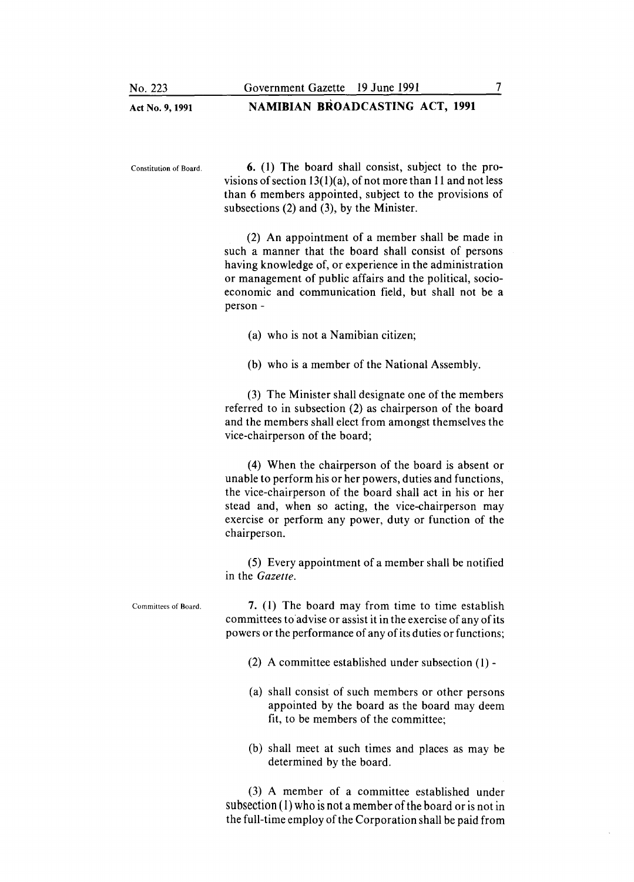Act No.9, 1991 NAMIBIAN BROADCASTING ACT, 1991

Constitution of Board. 6. (I) The board shall consist, subject to the provisions of section  $13(1)(a)$ , of not more than 11 and not less than 6 members appointed, subject to the provisions of subsections (2) and (3), by the Minister.

> (2) An appointment of a member shall be made in such a manner that the board shall consist of persons having knowledge of, or experience in the administration or management of public affairs and the political, socioeconomic and communication field, but shall not be a person -

- (a) who is not a Namibian citizen;
- (b) who is a member of the National Assembly.

(3) The Minister shall designate one of the members referred to in subsection (2) as chairperson of the board and the members shall elect from amongst themselves the vice-chairperson of the board;

(4) When the chairperson of the board is absent or unable to perform his or her powers, duties and functions, the vice-chairperson of the board shall act in his or her stead and, when so acting, the vice-chairperson may exercise or perform any power, duty or function of the chairperson.

(5) Every appointment of a member shall be notified in the *Gazette.*

Committees of Board. 7. (I) The board may from time to time establish committees to advise or assist it in the exercise of any of its powers or the performance of any of its duties or functions;

- (2) A committee established under subsection (I) -
- (a) shall consist of such members or other persons appointed by the board as the board may deem fit, to be members of the committee;
- (b) shall meet at such times and places as may be determined by the board.

(3) A member of a committee established under subsection (1) who is not a member of the board or is not in the full-time employ of the Corporation shall be paid from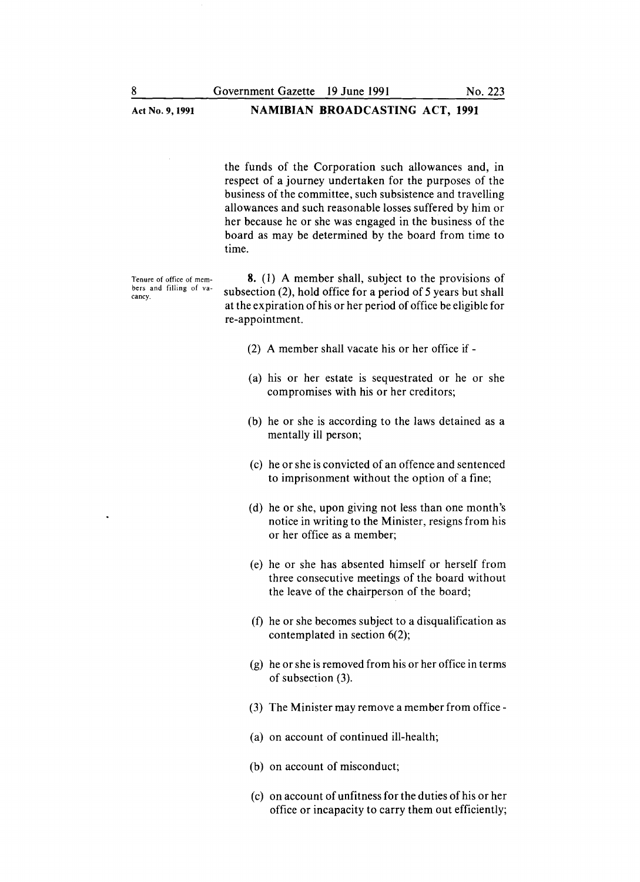the funds of the Corporation such allowances and, in respect of a journey undertaken for the purposes of the business of the committee, such subsistence and travelling allowances and such reasonable losses suffered by him or her because he or she was engaged in the business of the board as may be determined by the board from time to time.

Tenure of office of members and filling of vacancy.

8. (1) A member shall, subject to the provisions of subsection (2), hold office for a period of 5 years but shall at the expiration of his or her period of office be eligible for re-appointment.

- (2) A member shall vacate his or her office if -
- (a) his or her estate is sequestrated or he or she compromises with his or her creditors;
- (b) he or she is according to the laws detained as a mentally ill person;
- (c) he or she is convicted of an offence and sentenced to imprisonment without the option of a fine;
- (d) he or she, upon giving not less than one month's notice in writing to the Minister, resigns from his or her office as a member;
- (e) he or she has absented himself or herself from three consecutive meetings of the board without the leave of the chairperson of the board;
- (f) he or she becomes subject to a disqualification as contemplated in section 6(2);
- (g) he or she is removed from his or her office in terms of subsection (3).
- (3) The Minister may remove a member from office -
- (a) on account of continued ill-health;
- (b) on account of misconduct;
- (c) on account of unfitness for the duties of his or her office or incapacity to carry them out efficiently;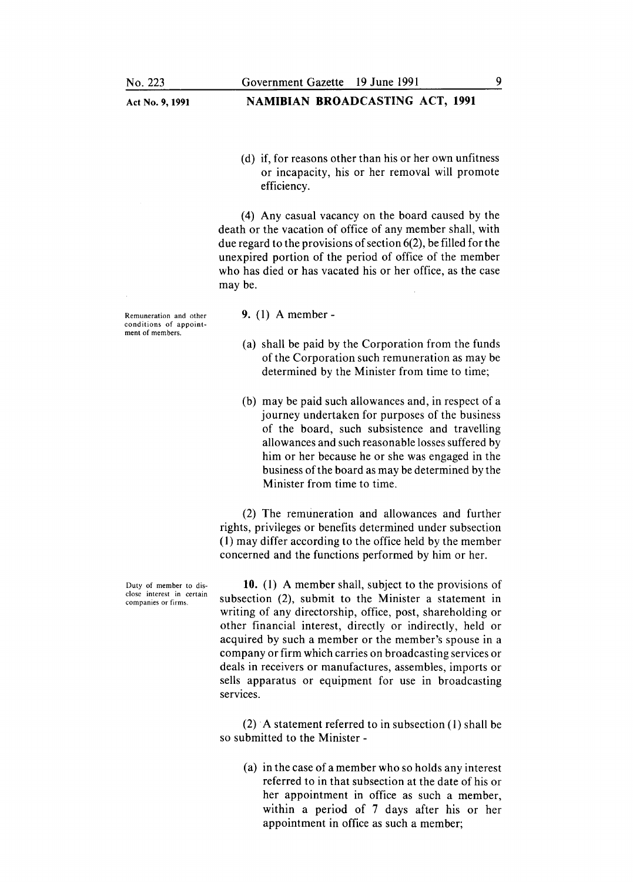- Act No.9, 1991 NAMIBIAN BROADCASTING ACT, 1991
	- (d) if, for reasons other than his or her own unfitness or incapacity, his or her removal will promote efficiency.

(4) Any casual vacancy on the board caused by the death or the vacation of office of any member shall, with due regard to the provisions of section 6(2), be filled for the unexpired portion of the period of office of the member who has died or has vacated his or her office, as the case may be.

Remuneration and other conditions of appointment of members.

- 9. (1) A member-
- (a) shall be paid by the Corporation from the funds of the Corporation such remuneration as may be determined by the Minister from time to time;
- (b) may be paid such allowances and, in respect of a journey undertaken for purposes of the business of the board, such subsistence and travelling allowances and such reasonable losses suffered by him or her because he or she was engaged in the business of the board as may be determined by the Minister from time to time.

(2) The remuneration and allowances and further rights, privileges or benefits determined under subsection (1) may differ according to the office held by the member concerned and the functions performed by him or her.

10. (1) A member shall, subject to the provisions of subsection (2), submit to the Minister a statement in writing of any directorship, office, post, shareholding or other financial interest, directly or indirectly, held or acquired by such a member or the member's spouse in a company or firm which carries on broadcasting services or deals in receivers or manufactures, assembles, imports or sells apparatus or equipment for use in broadcasting services.

(2) A statement referred to in subsection (1) shall be so submitted to the Minister -

(a) in the case of a member who so holds any interest referred to in that subsection at the date of his or her appointment in office as such a member, within a period of 7 days after his or her appointment in office as such a member;

Duty of member to disclose interest in certain companies or firms.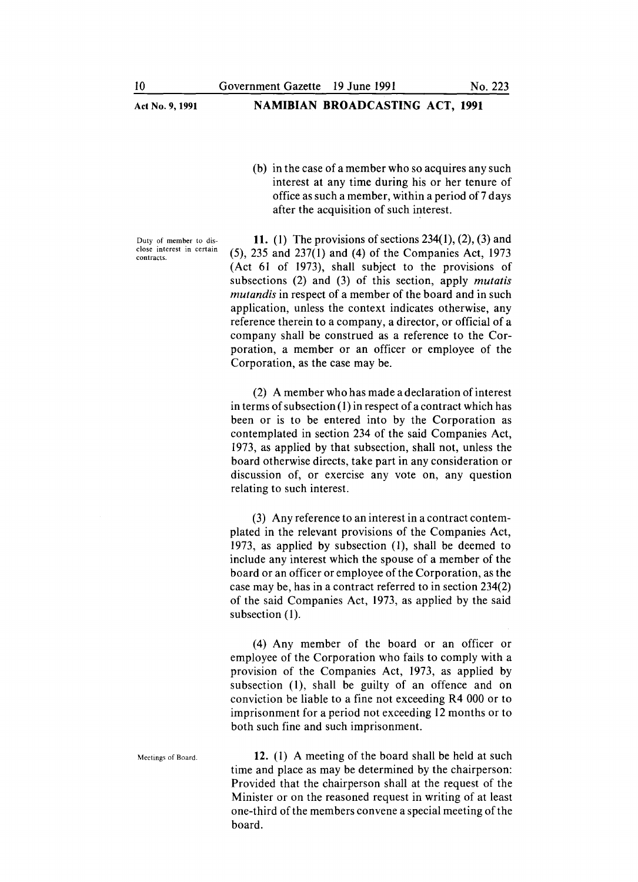(b) in the case of a member who so acquires any such interest at any time during his or her tenure of office as such a member, within a period of 7 days after the acquisition of such interest.

Duty of member to disclose interest in certain contracts.

11. (1) The provisions of sections  $234(1)$ ,  $(2)$ ,  $(3)$  and (5), 235 and 237(1) and (4) of the Companies Act, 1973 (Act 61 of 1973), shall subject to the provisions of subsections (2) and (3) of this section, apply *mutatis mutandis* in respect of a member of the board and in such application, unless the context indicates otherwise, any reference therein to a company, a director, or official of a company shall be construed as a reference to the Corporation, a member or an officer or employee of the Corporation, as the case may be.

(2) A member who has made a declaration of interest in terms of subsection (1) in respect of a contract which has been or is to be entered into by the Corporation as contemplated in section 234 of the said Companies Act, 1973, as applied by that subsection, shall not, unless the board otherwise directs, take part in any consideration or discussion of, or exercise any vote on, any question relating to such interest.

(3) Any reference to an interest in a contract contemplated in the relevant provisions of the Companies Act, 1973, as applied by subsection (1), shall be deemed to include any interest which the spouse of a member of the board or an officer or employee of the Corporation, as the case may be, has in a contract referred to in section 234(2) of the said Companies Act, 1973, as applied by the said subsection (1).

(4) Any member of the board or an officer or employee of the Corporation who fails to comply with a provision of the Companies Act, 1973, as applied by subsection (1), shall be guilty of an offence and on conviction be liable to a fine not exceeding R4 000 or to imprisonment for a period not exceeding 12 months or to both such fine and such imprisonment.

Meetings of Board. 12. (I) A meeting of the board shall be held at such time and place as may be determined by the chairperson: Provided that the chairperson shall at the request of the Minister or on the reasoned request in writing of at least one-third of the members convene a special meeting of the board.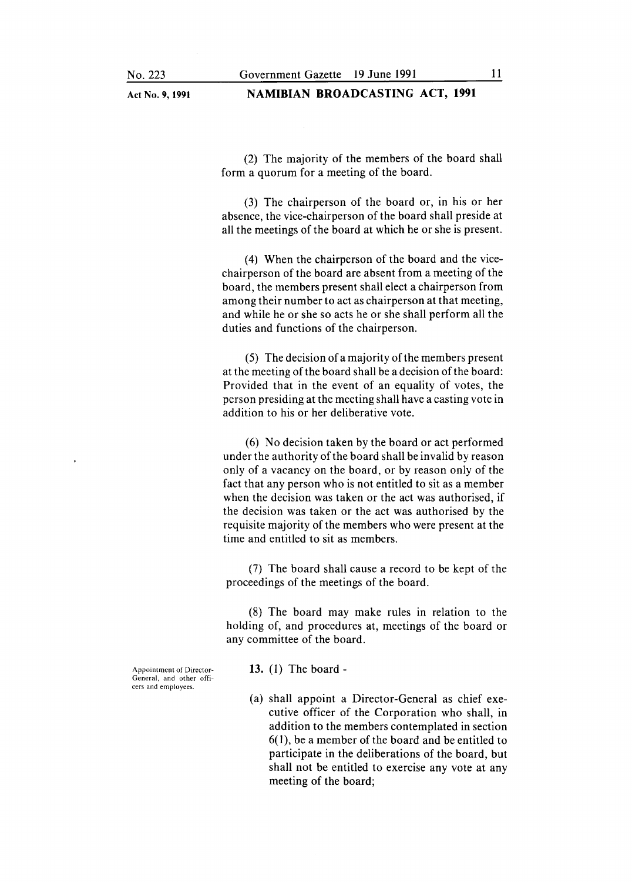#### Act No. 9, 1991 NAMIBIAN BROADCASTING ACT, 1991

(2) The majority of the members of the board shall form a quorum for a meeting of the board.

(3) The chairperson of the board or, in his or her absence, the vice-chairperson of the board shall preside at all the meetings of the board at which he or she is present.

(4) When the chairperson of the board and the vicechairperson of the board are absent from a meeting of the board, the members present shall elect a chairperson from among their number to act as chairperson at that meeting, and while he or she so acts he or she shall perform all the duties and functions of the chairperson.

 $(5)$  The decision of a majority of the members present at the meeting of the board shall be a decision of the board: Provided that in the event of an equality of votes, the person presiding at the meeting shall have a casting vote in addition to his or her deliberative vote.

(6) No decision taken by the board or act performed under the authority of the board shall be invalid by reason only of a vacancy on the board, or by reason only of the fact that any person who is not entitled to sit as a member when the decision was taken or the act was authorised, if the decision was taken or the act was authorised by the requisite majority of the members who were present at the time and entitled to sit as members.

(7) The board shall cause a record to be kept of the proceedings of the meetings of the board.

(8) The board may make rules in relation to the holding of, and procedures at, meetings of the board or any committee of the board.

Appointment of Director-General, and other officers and employees.

- 13. (1) The board -
- (a) shall appoint a Director-General as chief executive officer of the Corporation who shall, in addition to the members contemplated in section 6(1), be a member of the board and be entitled to participate in the deliberations of the board, but shall not be entitled to exercise any vote at any meeting of the board;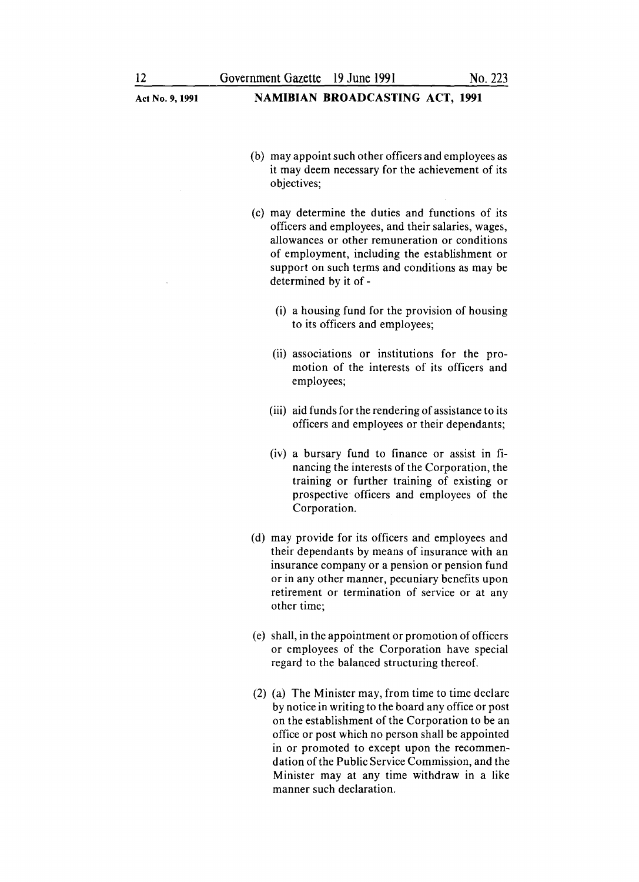- (b) may appoint such other officers and employees as it may deem necessary for the achievement of its objectives;
- (c) may determine the duties and functions of its officers and employees, and their salaries, wages, allowances or other remuneration or conditions of employment, including the establishment or support on such terms and conditions as may be determined by it of -
	- (i) a housing fund for the provision of housing to its officers and employees;
	- (ii) associations or institutions for the promotion of the interests of its officers and employees;
	- (iii) aid funds for the rendering of assistance to its officers and employees or their dependants;
	- (iv) a bursary fund to finance or assist in financing the interests of the Corporation, the training or further training of existing or prospective officers and employees of the Corporation.
- (d) may provide for its officers and employees and their dependants by means of insurance with an insurance company or a pension or pension fund or in any other manner, pecuniary benefits upon retirement or termination of service or at any other time;
- (e) shall, in the appointment or promotion of officers or employees of the Corporation have special regard to the balanced structuring thereof.
- (2) (a) The Minister may, from time to time declare by notice in writing to the board any office or post on the establishment of the Corporation to be an office or post which no person shall be appointed in or promoted to except upon the recommendation of the Public Service Commission, and the Minister may at any time withdraw in a like manner such declaration.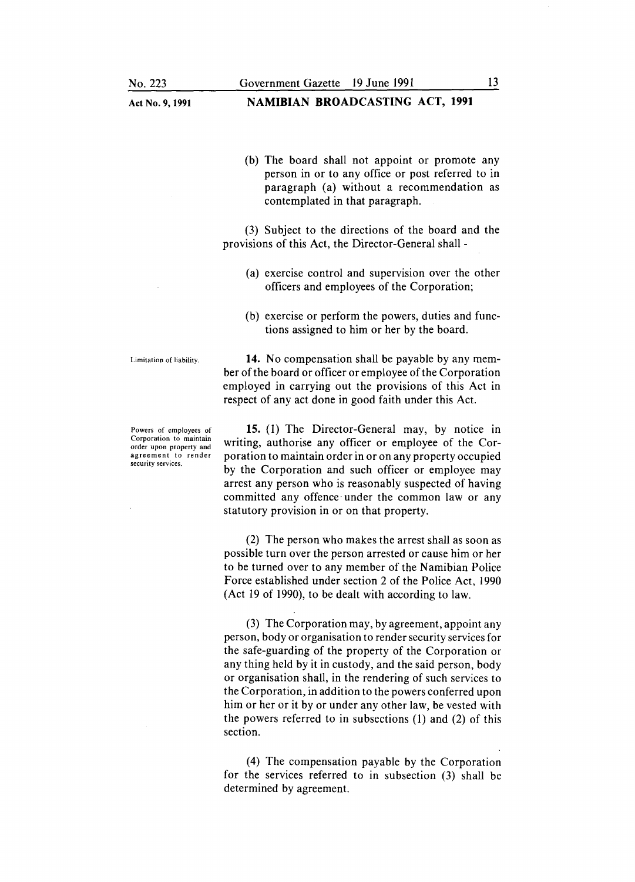(b) The board shall not appoint or promote any person in or to any office or post referred to in paragraph (a) without a recommendation as contemplated in that paragraph.

(3) Subject to the directions of the board and the provisions of this Act, the Director-General shall -

- (a) exercise control and supervision over the other officers and employees of the Corporation;
- (b) exercise or perform the powers, duties and functions assigned to him or her by the board.

Limitation of liability.

Powers of employees of Corporation to maintain order upon property and agreement to render security services.

14. No compensation shall be payable by any member of the board or officer or employee of the Corporation employed in carrying out the provisions of this Act in respect of any act done in good faith under this Act.

15. (1) The Director-General may, by notice in writing, authorise any officer or employee of the Corporation to maintain order in or on any property occupied by the Corporation and such officer or employee may arrest any person who is reasonably suspected of having committed any offence. under the common law or any statutory provision in or on that property.

(2) The person who makes the arrest shall as soon as possible turn over the person arrested or cause him or her to be turned over to any member of the Namibian Police Force established under section 2 of the Police Act, 1990 (Act 19 of 1990), to be dealt with according to law.

(3) The Corporation may, by agreement, appoint any person, body or organisation to render security services for the safe-guarding of the property of the Corporation or any thing held by it in custody, and the said person, body or organisation shall, in the rendering of such services to the Corporation, in addition to the powers conferred upon him or her or it by or under any other law, be vested with the powers referred to in subsections (1) and (2) of this section.

(4) The compensation payable by the Corporation for the services referred to in subsection (3) shall be determined by agreement.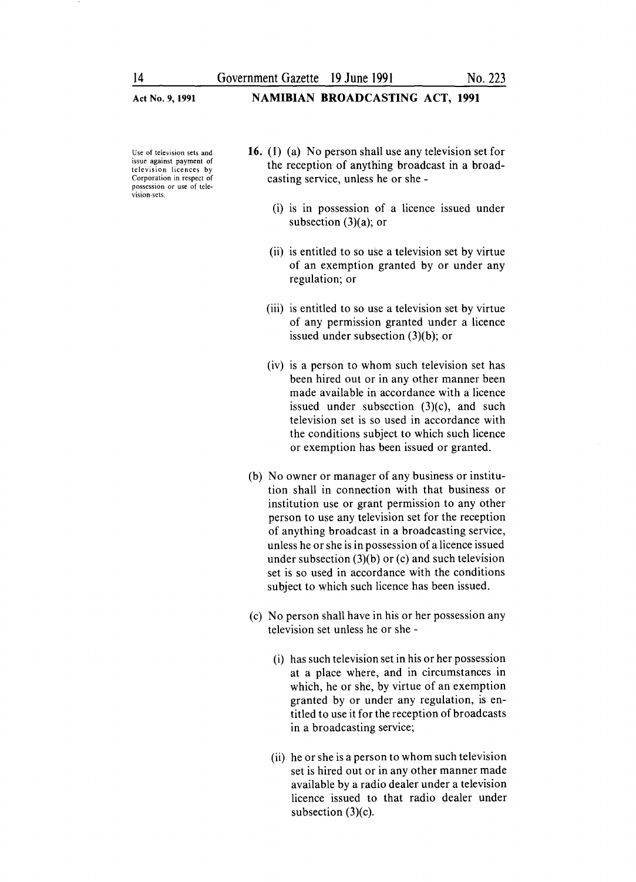#### NAMIBIAN BROADCASTING ACT, 1991

Use of television sets and issue against payment of television licences by Corporation in respect of possession or use of tele-.<br>vision-sets

- 16. (1) (a) No person shall use any television set for the reception of anything broadcast in a broadcasting service, unless he or she -
	- (i) is in possession of a licence issued under subsection  $(3)(a)$ ; or
	- (ii) is entitled to so use a television set by virtue of an exemption granted by or under any regulation; or
	- (iii) is entitled to so use a television set by virtue of any permission granted under a licence issued under subsection (3)(b); or
	- (iv) is a person to whom such television set has been hired out or in any other manner been made available in accordance with a licence issued under subsection (3)(c), and such television set is so used in accordance with the conditions subject to which such licence or exemption has been issued or granted.
- (b) No owner or manager of any business or institution shall in connection with that business or institution use or grant permission to any other person to use any television set for the reception of anything broadcast in a broadcasting service, unless he or she is in possession of a licence issued under subsection (3)(b) or (c) and such television set is so used in accordance with the conditions subject to which such licence has been issued.
- (c) No person shall have in his or her possession any television set unless he or she -
	- (i) has such television set in his or her possession at a place where, and in circumstances in which, he or she, by virtue of an exemption granted by or under any regulation, is entitled to use it for the reception of broadcasts in a broadcasting service;
	- (ii) he or she is a person to whom such television set is hired out or in any other manner made available by a radio dealer under a television licence issued to that radio dealer under subsection (3)(c).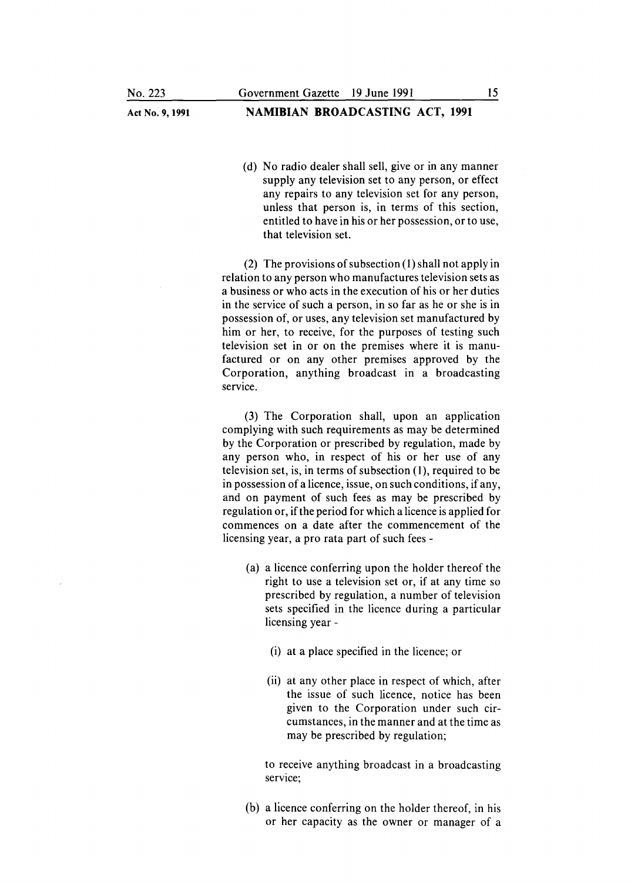#### Act No. 9, 1991 **NAMIBIAN BROADCASTING ACT, 1991**

(d) No radio dealer shall sell, give or in any manner supply any television set to any person, or effect any repairs to any television set for any person, unless that person is, in terms of this section, entitled to have in his or her possession, or to use, that television set.

(2) The provisions of subsection (1) shall not apply in relation to any person who manufactures television sets as a business or who acts in the execution of his or her duties in the service of such a person, in so far as he or she is in possession of, or uses, any television set manufactured by him or her, to receive, for the purposes of testing such television set in or on the premises where it is manufactured or on any other premises approved by the Corporation, anything broadcast in a broadcasting service.

(3) The Corporation shall, upon an application complying with such requirements as may be determined by the Corporation or prescribed by regulation, made by any person who, in respect of his or her use of any television set, is, in terms of subsection (1), required to be in possession of a licence, issue, on such conditions, if any, and on payment of such fees as may be prescribed by regulation or, if the period for which a licence is applied for commences on a date after the commencement of the licensing year, a pro rata part of such fees -

- (a) a licence conferring upon the holder thereof the right to use a television set or, if at any time so prescribed by regulation, a number of television sets specified in the licence during a particular licensing year -
	- (i) at a place specified in the licence; or
	- (ii) at any other place in respect of which, after the issue of such licence, notice has been given to the Corporation under such circumstances, in the manner and at the time as may be prescribed by regulation;

to receive anything broadcast in a broadcasting service:

(b) a licence conferring on the holder thereof, in his or her capacity as the owner or manager of a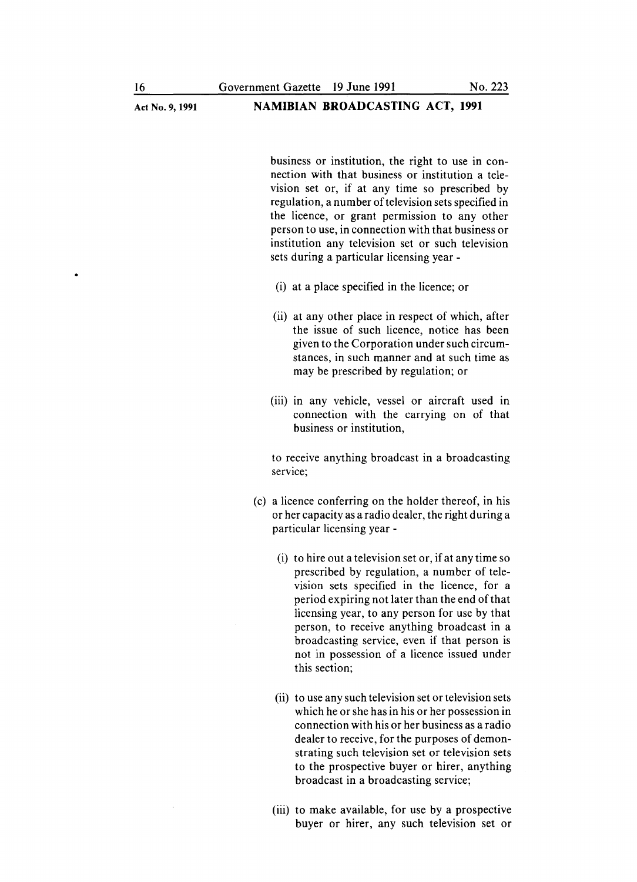#### Act No.9, 1991 NAMIBIAN BROADCASTING ACT, **1991**

business or institution, the right to use in connection with that business or institution a television set or, if at any time so prescribed by regulation, a number of television sets specified in the licence, or grant permission to any other person to use, in connection with that business or institution any television set or such television sets during a particular licensing year -

- (i) at a place specified in the licence; or
- (ii) at any other place in respect of which, after the issue of such licence, notice has been given to the Corporation under such circumstances, in such manner and at such time as may be prescribed by regulation; or
- (iii) in any vehicle, vessel or aircraft used in connection with the carrying on of that business or institution,

to receive anything broadcast in a broadcasting service;

- (c) a licence conferring on the holder thereof, in his or her capacity as a radio dealer, the right during a particular licensing year -
	- (i) to hire out a television set or, if at any time so prescribed by regulation, a number of television sets specified in the licence, for a period expiring not later than the end of that licensing year, to any person for use by that person, to receive anything broadcast in a broadcasting service, even if that person is not in possession of a licence issued under this section;
	- (ii) to use any such television set or television sets which he or she has in his or her possession in connection with his or her business as a radio dealer to receive, for the purposes of demonstrating such television set or television sets to the prospective buyer or hirer, anything broadcast in a broadcasting service;
	- (iii) to make available, for use by a prospective buyer or hirer, any such television set or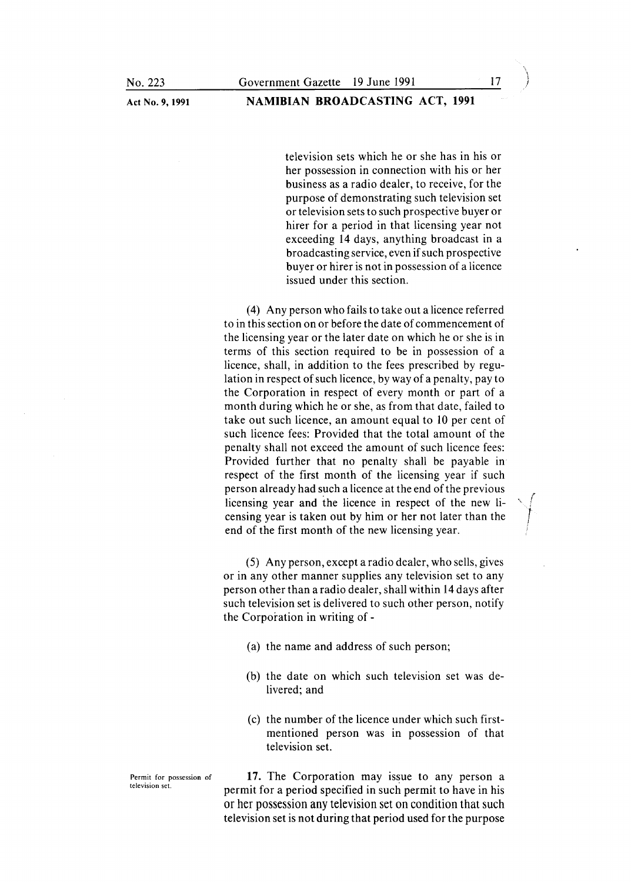television sets which he or she has in his or her possession in connection with his or her business as a radio dealer, to receive, for the purpose of demonstrating such television set or television sets to such prospective buyer or hirer for a period in that licensing year not exceeding 14 days, anything broadcast in a broadcasting service, even if such prospective buyer or hirer is not in possession of a licence issued under this section.

(4) Any person who fails to take out a licence referred to in this section on or before the date of commencement of the licensing year or the later date on which he or she is in terms of this section required to be in possession of a licence, shall, in addition to the fees prescribed by regulation in respect of such licence, by way of a penalty, pay to the Corporation in respect of every month or part of a month during which he or she, as from that date, failed to take out such licence, an amount equal to 10 per cent of such licence fees: Provided that the total amount of the penalty shall not exceed the amount of such licence fees: Provided further that no penalty shall be payable in respect of the first month of the licensing year if such person already had such a licence at the end of the previous licensing year and the licence in respect of the new li censing year is taken out by him or her not later than the *j* end of the first month of the new licensing year.

(5) Any person, except a radio dealer, who sells, gives or in any other manner supplies any television set to any person other than a radio dealer, shall within 14 days after such television set is delivered to such other person, notify the Corporation in writing of -

- (a) the name and address of such person;
- (b) the date on which such television set was delivered; and
- (c) the number of the licence under which such firstmentioned person was in possession of that television set.

17. The Corporation may issue to any person a permit for a period specified in such permit to have in his or her possession any television set on condition that such television set is not during that period used for the purpose

*r*

Permit for possession of television set.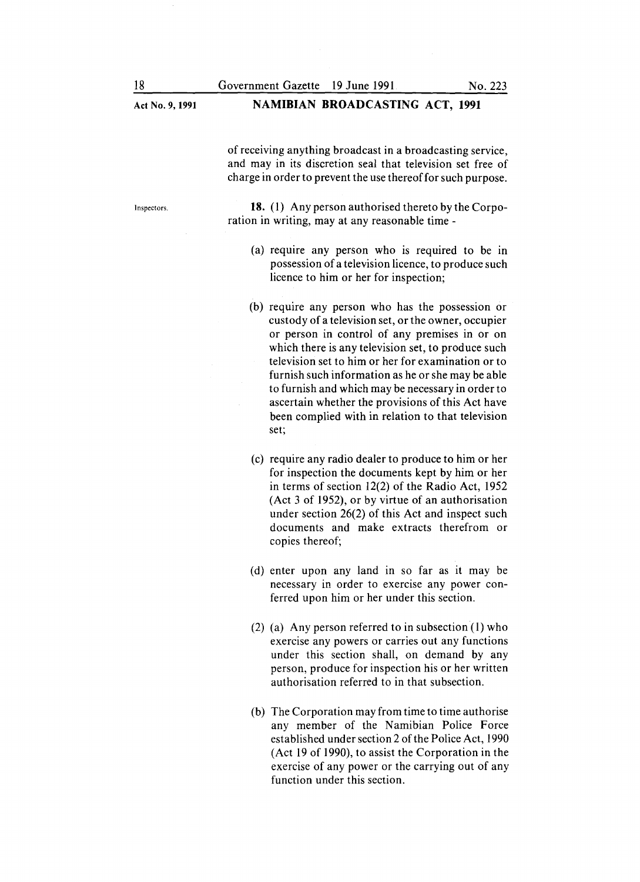Act No.9, **1991** Inspectors. **NAMIBIAN BROADCASTING ACT, 1991** of receiving anything broadcast in a broadcasting service, and may in its discretion seal that television set free of charge in order to prevent the use thereof for such purpose. **18.** (1) Any person authorised thereto by the Corporation in writing, may at any reasonable time - (a) require any person who is required to be in possession of a television licence, to produce such licence to him or her for inspection; (b) require any person who has the possession or custody of a television set, or the owner, occupier or person in control of any premises in or on which there is any television set, to produce such television set to him or her for examination or to furnish such information as he or she may be able to furnish and which may be necessary in order to ascertain whether the provisions of this Act have been complied with in relation to that television set; (c) require any radio dealer to produce to him or her for inspection the documents kept by him or her in terms of section 12(2) of the Radio Act, 1952 (Act 3 of 1952), or by virtue of an authorisation under section 26(2) of this Act and inspect such documents and make extracts therefrom or copies thereof; (d) enter upon any land in so far as it may be necessary in order to exercise any power conferred upon him or her under this section. (2) (a) Any person referred to in subsection (1) who exercise any powers or carries out any functions under this section shall, on demand by any person, produce for inspection his or her written authorisation referred to in that subsection.

> (b) The Corporation may from time to time authorise any member of the Namibian Police Force established under section 2 of the Police Act, 1990 (Act 19 of 1990), to assist the Corporation in the exercise of any power or the carrying out of any function under this section.

18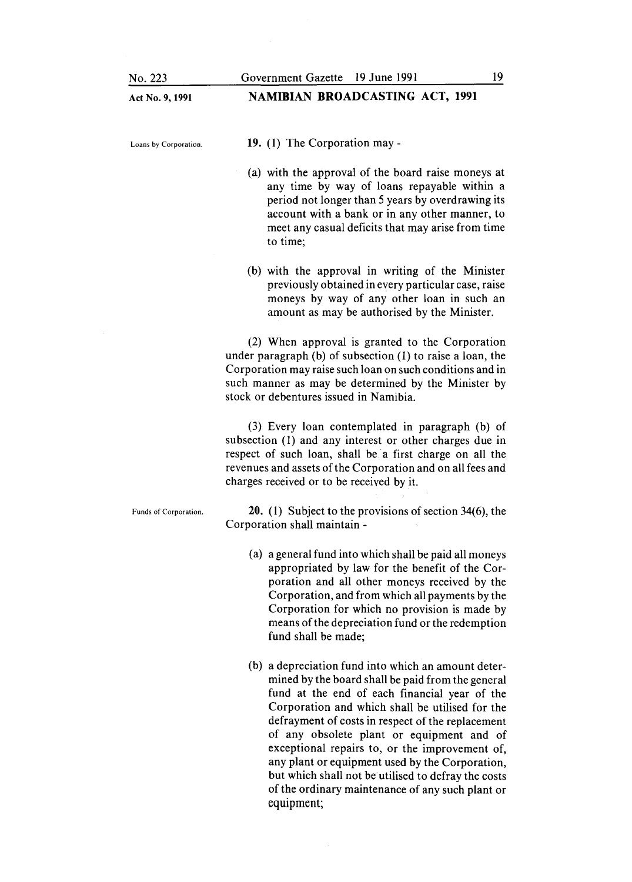| No. 223               | 19<br>Government Gazette 19 June 1991                                                                                                                                                                                                                                                                                                                                                                                                                                                                                          |
|-----------------------|--------------------------------------------------------------------------------------------------------------------------------------------------------------------------------------------------------------------------------------------------------------------------------------------------------------------------------------------------------------------------------------------------------------------------------------------------------------------------------------------------------------------------------|
| Act No. 9, 1991       | <b>NAMIBIAN BROADCASTING ACT, 1991</b>                                                                                                                                                                                                                                                                                                                                                                                                                                                                                         |
| Loans by Corporation. | 19. (1) The Corporation may -                                                                                                                                                                                                                                                                                                                                                                                                                                                                                                  |
|                       | (a) with the approval of the board raise moneys at<br>any time by way of loans repayable within a<br>period not longer than 5 years by overdrawing its<br>account with a bank or in any other manner, to<br>meet any casual deficits that may arise from time<br>to time;                                                                                                                                                                                                                                                      |
|                       | (b) with the approval in writing of the Minister<br>previously obtained in every particular case, raise<br>moneys by way of any other loan in such an<br>amount as may be authorised by the Minister.                                                                                                                                                                                                                                                                                                                          |
|                       | (2) When approval is granted to the Corporation<br>under paragraph (b) of subsection (1) to raise a loan, the<br>Corporation may raise such loan on such conditions and in<br>such manner as may be determined by the Minister by<br>stock or debentures issued in Namibia.                                                                                                                                                                                                                                                    |
|                       | (3) Every loan contemplated in paragraph (b) of<br>subsection (1) and any interest or other charges due in<br>respect of such loan, shall be a first charge on all the<br>revenues and assets of the Corporation and on all fees and<br>charges received or to be received by it.                                                                                                                                                                                                                                              |
| Funds of Corporation. | <b>20.</b> (1) Subject to the provisions of section $34(6)$ , the<br>Corporation shall maintain -                                                                                                                                                                                                                                                                                                                                                                                                                              |
|                       | (a) a general fund into which shall be paid all moneys<br>appropriated by law for the benefit of the Cor-<br>poration and all other moneys received by the<br>Corporation, and from which all payments by the<br>Corporation for which no provision is made by<br>means of the depreciation fund or the redemption<br>fund shall be made;                                                                                                                                                                                      |
|                       | (b) a depreciation fund into which an amount deter-<br>mined by the board shall be paid from the general<br>fund at the end of each financial year of the<br>Corporation and which shall be utilised for the<br>defrayment of costs in respect of the replacement<br>of any obsolete plant or equipment and of<br>exceptional repairs to, or the improvement of,<br>any plant or equipment used by the Corporation,<br>but which shall not be utilised to defray the costs<br>of the ordinary maintenance of any such plant or |

equipment;

 $\mathcal{L}^{\text{max}}_{\text{max}}$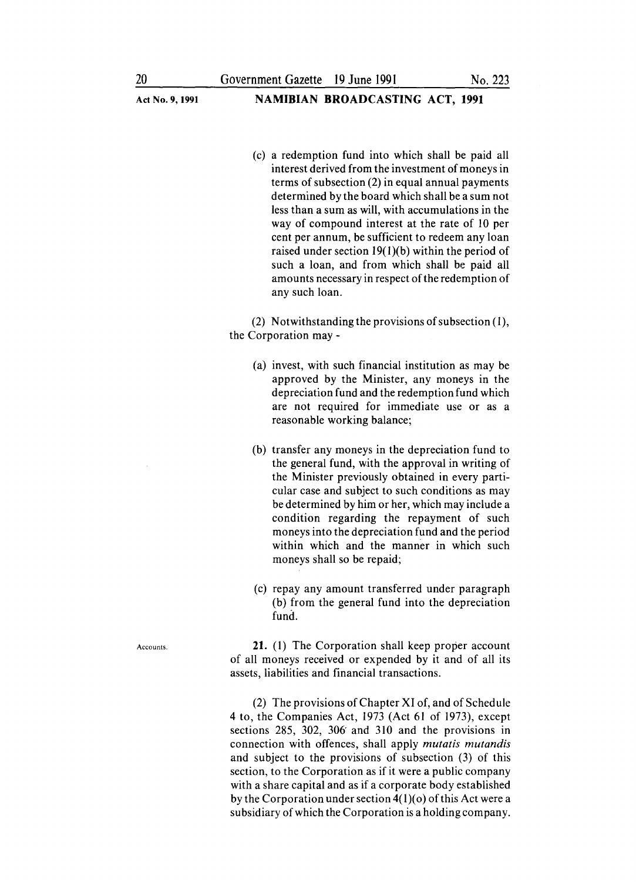(c) a redemption fund into which shall be paid all interest derived from the investment of moneys in terms of subsection (2) in equal annual payments determined by the board which shall be a sum not less than a sum as will, with accumulations in the way of compound interest at the rate of 10 per cent per annum, be sufficient to redeem any loan raised under section 19(1)(b) within the period of such a loan, and from which shall be paid all amounts necessary in respect of the redemption of any such loan.

(2) Notwithstanding the provisions of subsection (1), the Corporation may -

- (a) invest, with such financial institution as may be approved by the Minister, any moneys in the depreciation fund and the redemption fund which are not required for immediate use or as a reasonable working balance;
- (b) transfer any moneys in the depreciation fund to the general fund, with the approval in writing of the Minister previously obtained in every particular case and subject to such conditions as may be determined by him or her, which may include a condition regarding the repayment of such moneys into the depreciation fund and the period within which and the manner in which such moneys shall so be repaid;
- (c) repay any amount transferred under paragraph (b) from the general fund into the depreciation fund.

21. (1) The Corporation shall keep proper account of all moneys received or expended by it and of all its assets, liabilities and financial transactions.

(2) The provisions of Chapter XI of, and of Schedule 4 to, the Companies Act, 1973 (Act 61 of 1973), except sections 285, 302, 306' and 310 and the provisions in connection with offences, shall apply *mutatis mutandis* and subject to the provisions of subsection (3) of this section, to the Corporation as if it were a public company with a share capital and as if a corporate body established by the Corporation under section  $4(1)(0)$  of this Act were a subsidiary of which the Corporation is a holding company.

Accounts.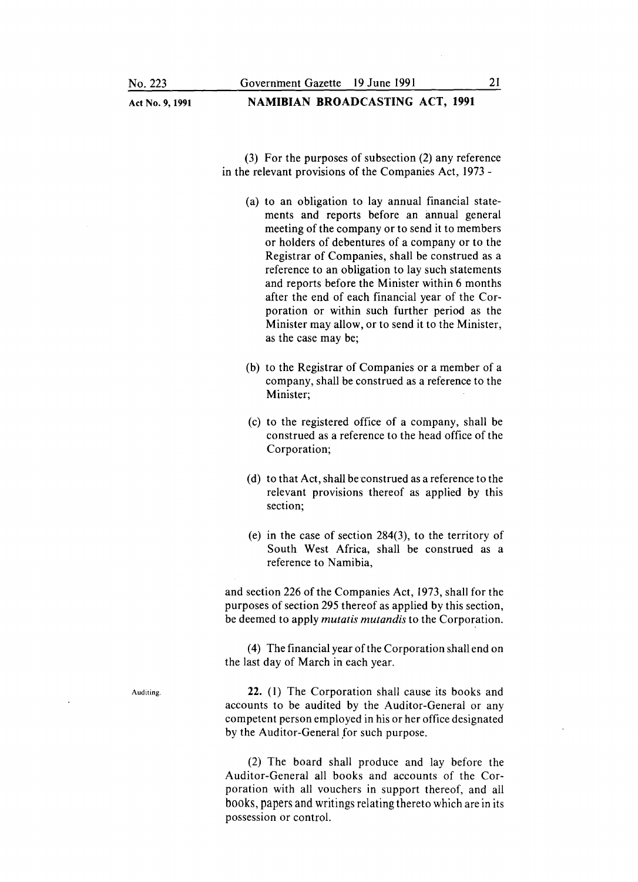#### Act No. 9, 1991 **NAMIBIAN BROADCASTING ACT, 1991**

(3) For the purposes of subsection (2) any reference in the relevant provisions of the Companies Act, 1973 -

- (a) to an obligation to lay annual financial statements and reports before an annual general meeting of the company or to send it to members or holders of debentures of a company or to the Registrar of Companies, shall be construed as a reference to an obligation to lay such statements and reports before the Minister within 6 months after the end of each financial year of the Corporation or within such further period as the Minister may allow, or to send it to the Minister, as the case may be;
- (b) to the Registrar of Companies or a member of a company, shall be construed as a reference to the Minister;
- (c) to the registered office of a company, shall be construed as a reference to the head office of the Corporation;
- (d) to that Act, shall be construed as a reference to the relevant provisions thereof as applied by this section;
- (e) in the case of section 284(3), to the territory of South West Africa, shall be construed as a reference to Namibia,

and section 226 of the Companies Act, 1973, shall for the purposes of section 295 thereof as applied by this section, be deemed to apply *mutatis mutandis* to the Corporation.

(4) The financial year of the Corporation shall end on the last day of March in each year.

22. (1) The Corporation shall cause its books and accounts to be audited by the Auditor-General or any competent person employed in his or her office designated by the Auditor-General for such purpose.

(2) The board shall produce and lay before the Auditor-General all books and accounts of the Corporation with all vouchers in support thereof, and all books, papers and writings relating thereto which are in its possession or control.

Auditing.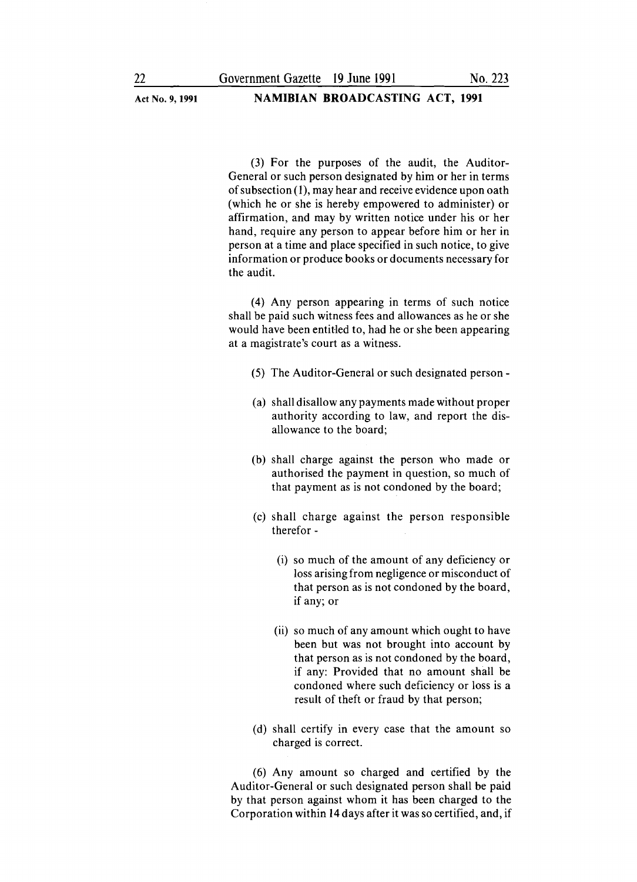(3) For the purposes of the audit, the Auditor-General or such person designated by him or her in terms of subsection (1), may hear and receive evidence upon oath (which he or she is hereby empowered to administer) or affirmation, and may by written notice under his or her hand, require any person to appear before him or her in person at a time and place specified in such notice, to give information or produce books or documents necessary for the audit.

(4) Any person appearing in terms of such notice shall be paid such witness fees and allowances as he or she would have been entitled to, had he or she been appearing at a magistrate's court as a witness.

- (5) The Auditor-General or such designated person-
- (a) shall disallow any payments made without proper authority according to law, and report the disallowance to the board;
- (b) shall charge against the person who made or authorised the payment in question, so much of that payment as is not condoned by the board;
- (c) shall charge against the person responsible therefor -
	- (i) so much of the amount of any deficiency or loss arising from negligence or misconduct of that person as is not condoned by the board, if any; or
	- (ii) so much of any amount which ought to have been but was not brought into account by that person as is not condoned by the board, if any: Provided that no amount shall be condoned where such deficiency or loss is a result of theft or fraud by that person;
- (d) shall certify in every case that the amount so charged is correct.

(6) Any amount so charged and certified by the Auditor-General or such designated person shall be paid by that person against whom it has been charged to the Corporation within 14 days after it was so certified, and, if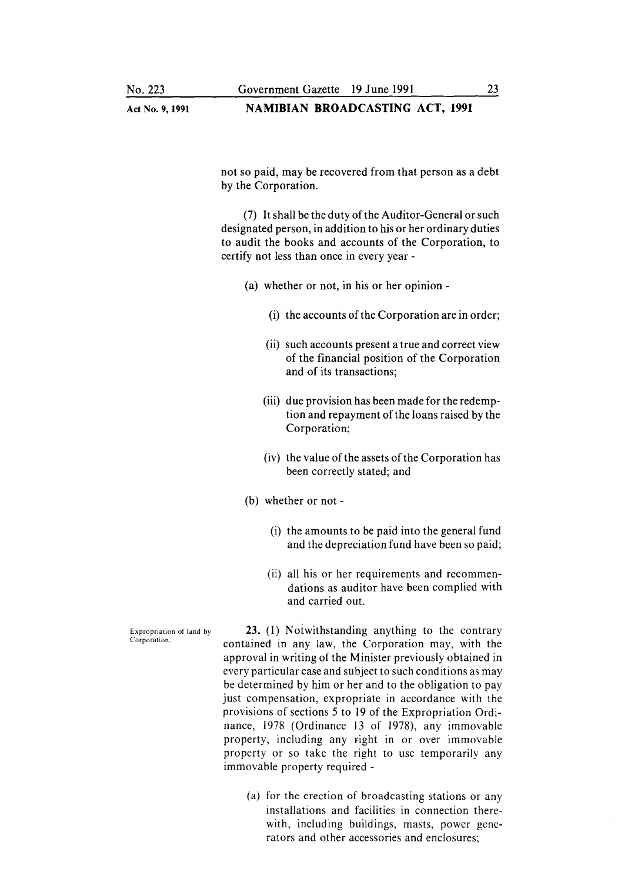#### **NAMIBIAN BROADCASTING** ACT, **1991**

not so paid, may be recovered from that person as a debt by the Corporation.

(7) It shall be the duty of the Auditor-General or such designated person, in addition to his or her ordinary duties to audit the books and accounts of the Corporation, to certify not less than once in every year -

- (a) whether or not, in his or her opinion
	- (i) the accounts of the Corporation are in order;
	- (ii) such accounts present a true and correct view of the financial position of the Corporation and of its transactions;
	- (iii) due provision has been made for the redemption and repayment of the loans raised by the Corporation;
	- (iv) the value of the assets of the Corporation has been correctly stated; and
- (b) whether or not
	- (i) the amounts to be paid into the general fund and the depreciation fund have been so paid;
	- (ii) all his or her requirements and recommendations as auditor have been complied with and carried out.

23. (1) Notwithstanding anything to the contrary contained in any law, the Corporation may, with the approval in writing of the Minister previously obtained in every particular case and subject to such conditions as may be determined by him or her and to the obligation to pay just compensation, expropriate in accordance with the provisions of sections 5 to 19 of the Expropriation Ordinance, 1978 (Ordinance 13 of 1978), any immovable property, including any right in or over immovable property or so take the right to use temporarily any immovable property required -

> (a) for the erection of broadcasting stations or any installations and facilities in connection therewith, including buildings, masts, power generators and other accessories and enclosures;

Expropriation of land by Corporation.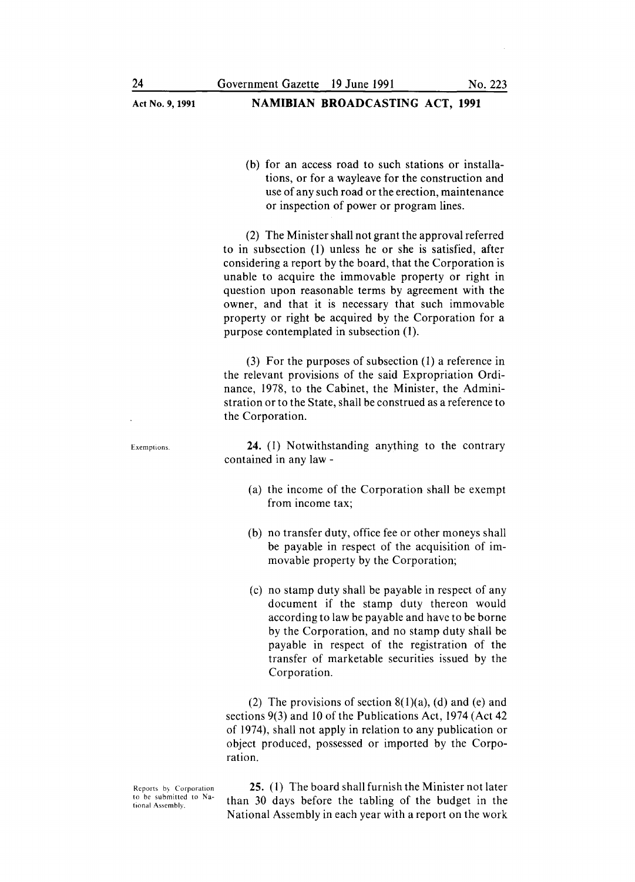(b) for an access road to such stations or installations, or for a wayleave for the construction and use of any such road or the erection, maintenance or inspection of power or program lines.

(2) The Minister shall not grant the approval referred to in subsection (1) unless he or she is satisfied, after considering a report by the board, that the Corporation is unable to acquire the immovable property or right in question upon reasonable terms by agreement with the owner, and that it is necessary that such immovable property or right be acquired by the Corporation for a purpose contemplated in subsection (1).

(3) For the purposes of subsection (1) a reference in the relevant provisions of the said Expropriation Ordinance, 1978, to the Cabinet, the Minister, the Administration or to the State, shall be construed as a reference to the Corporation.

24. (1) Notwithstanding anything to the contrary contained in any law -

- (a) the income of the Corporation shall be exempt from income tax;
- (b) no transfer duty, office fee or other moneys shall be payable in respect of the acquisition of immovable property by the Corporation;
- (c) no stamp duty shall be payable in respect of any document if the stamp duty thereon would according to law be payable and have to be borne by the Corporation, and no stamp duty shall be payable in respect of the registration of the transfer of marketable securities issued by the Corporation.

(2) The provisions of section  $8(1)(a)$ , (d) and (e) and sections 9(3) and 10 of the Publications Act, 1974 (Act 42 of 1974), shall not apply in relation to any publication or object produced, possessed or imported by the Corporation.

Reports by Corporation to be submitted to National Assembly.

25. (1) The board shall furnish the Minister not later than 30 days before the tabling of the budget in the National Assembly in each year with a report on the work

Exemptions.